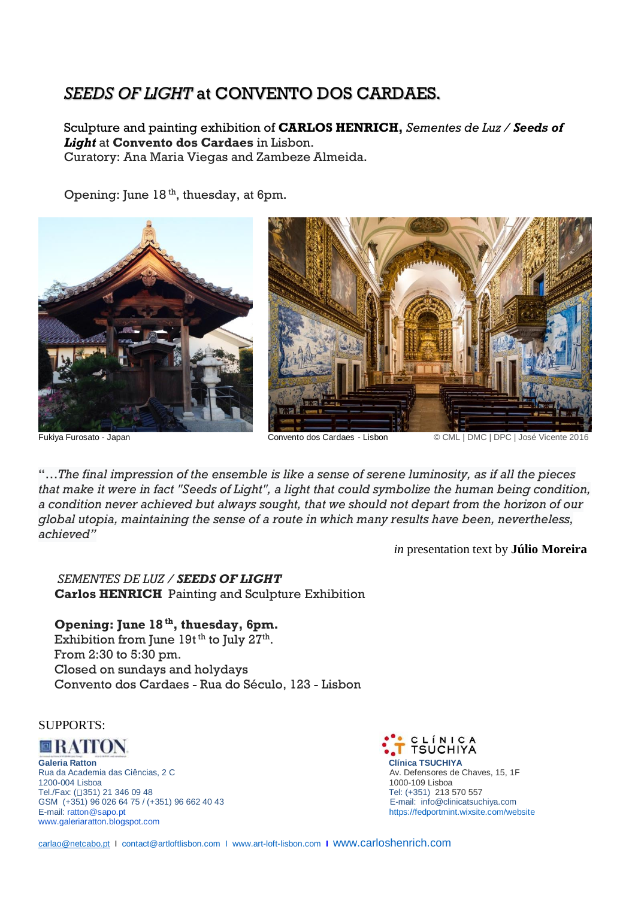# *SEEDS OF LIGHT* at CONVENTO DOS CARDAES.

Sculpture and painting exhibition of **CARLOS HENRICH,** *Sementes de Luz / Seeds of Light* at **Convento dos Cardaes** in Lisbon. Curatory: Ana Maria Viegas and Zambeze Almeida.

Opening: June 18<sup>th</sup>, thuesday, at 6pm.



Fukiya Furosato - Japan Convento dos Cardaes - Lisbon © CML | DMC | DPC | José Vicente 2016

"…*The final impression of the ensemble is like a sense of serene luminosity, as if all the pieces that make it were in fact "Seeds of Light", a light that could symbolize the human being condition, a condition never achieved but always sought, that we should not depart from the horizon of our global utopia, maintaining the sense of a route in which many results have been, nevertheless, achieved"*

*in* presentation text by **Júlio Moreira**

# *SEMENTES DE LUZ / SEEDS OF LIGHT*

 **Carlos HENRICH** Painting and Sculpture Exhibition

## **Opening: June 18 th, thuesday, 6pm.**

Exhibition from June  $19t^{th}$  to July  $27^{th}$ . From 2:30 to 5:30 pm. Closed on sundays and holydays Convento dos Cardaes - Rua do Século, 123 - Lisbon

## SUPPORTS:

ORATION

**Galeria Ratton Contra Construction Construction Clínica TSUCHIYA**<br>
Rua da Academia das Ciências, 2 C<br>
Clínica TSUCHIYA **ANGLICA DE SUCHISTAN ANGLÍSICA DE SUCHISTAN** Av. Defensores de Chaves, 15, 1F Rua da Academia das Ciências, 2 C. 1200-004 Lisboa 1000-109 Lisboa Tel./Fax: (□351) 21 346 09 48 Tel. (+351) 213 570 557<br>GSM (+351) 96 026 64 75 / (+351) 96 662 40 43 Tel. (+351) 213 570 557 GSM (+351) 96 026 64 75 / (+351) 96 662 40 43<br>E-mail: ratton@sapo.pt [www.galeriaratton.blogspot.com](http://www.galeriaratton.blogspot.com/)



<https://fedportmint.wixsite.com/website>

[carlao@netcabo.pt](mailto:carlao@netcabo.pt) I [contact@artloftlisbon.com](mailto:contact@artloftlisbon.com) I [www.art-loft-lisbon.com](http://www.art-loft-lisbon.com/) **I** [www.carloshenrich.com](http://www.carloshenrich.com/)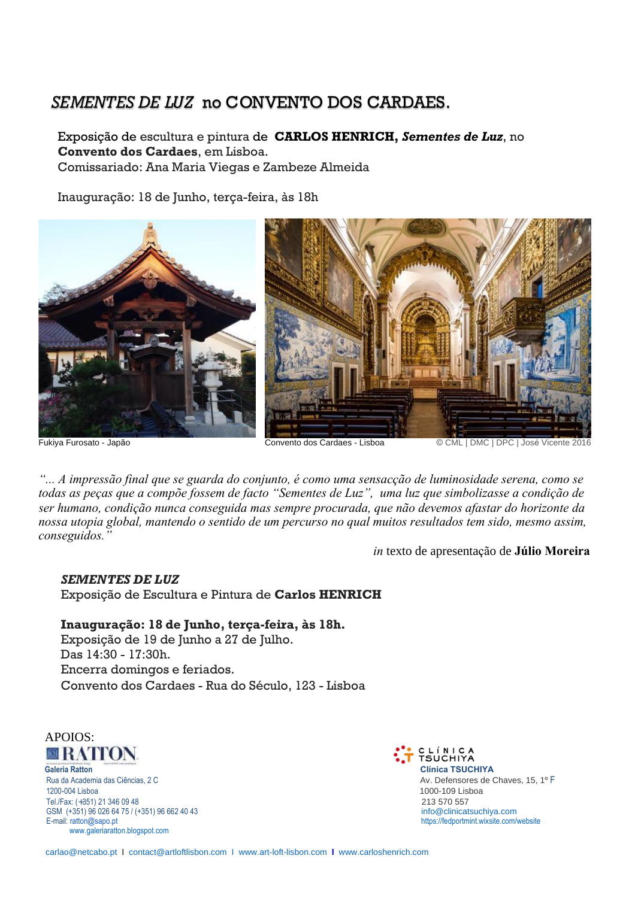# *SEMENTES DE LUZ* no CONVENTO DOS CARDAES.

 Exposição de escultura e pintura de **CARLOS HENRICH,** *Sementes de Luz*, no  **Convento dos Cardaes**, em Lisboa. Comissariado: Ana Maria Viegas e Zambeze Almeida

Inauguração: 18 de Junho, terça-feira, às 18h



Fukiya Furosato - Japão Convento dos Cardaes - Lisboa © CML | DMC | DPC | José Vicente 2016

... A impressão final que se guarda do conjunto, é como uma sensacção de luminosidade serena, como se todas as peças que a compõe fossem de facto "Sementes de Luz", uma luz que simbolizasse a condição de ser humano, condição nunca conseguida mas sempre procurada, que não devemos afastar do horizonte da nossa utopia global, mantendo o sentido de um percurso no qual muitos resultados tem sido, mesmo assim, *conseguidos."*

*in* texto de apresentação de **Júlio Moreira**

## *SEMENTES DE LUZ*

Exposição de Escultura e Pintura de **Carlos HENRICH**

 **Inauguração: 18 de Junho, terça-feira, às 18h.** Exposição de 19 de Junho a 27 de Julho. Das 14:30 - 17:30h. Encerra domingos e feriados. Convento dos Cardaes - Rua do Século, 123 - Lisboa



 **Galeria Ratton Clínica TSUCHIYA** Rua da Academia das Ciências, 2 C Av. Defensores de Chaves, 15, 1<sup>o</sup> F 1200-004 Lisboa 1000-109 Lisboa Tel./Fax: (+351) 21 346 09 48<br>
GSM (+351) 96 026 64 75 / (+351) 96 662 40 43 213 570 557 213 570 557 11fo@clinicatsuchiya.com GSM (+351) 96 026 64 75 / (+351) 96 662 40 43<br>E-mail: ratton@sapo.pt www.galeriaratton.blogspot.com

CLÍNICA<br>TSUCHIYA https://fedportmint.wixsite.com/website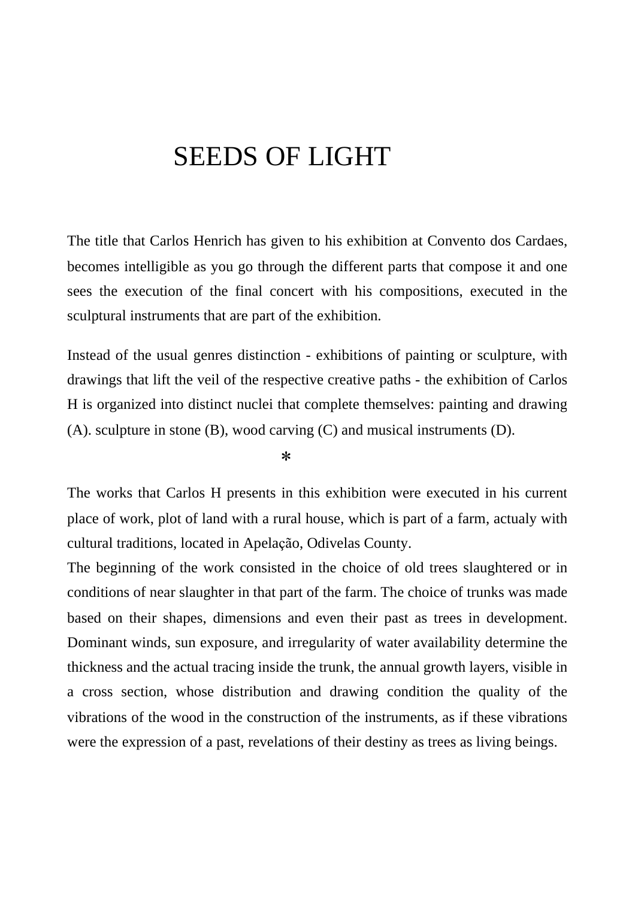# SEEDS OF LIGHT

The title that Carlos Henrich has given to his exhibition at Convento dos Cardaes, becomes intelligible as you go through the different parts that compose it and one sees the execution of the final concert with his compositions, executed in the sculptural instruments that are part of the exhibition.

Instead of the usual genres distinction - exhibitions of painting or sculpture, with drawings that lift the veil of the respective creative paths - the exhibition of Carlos H is organized into distinct nuclei that complete themselves: painting and drawing (A). sculpture in stone (B), wood carving (C) and musical instruments (D).

*\**

The works that Carlos H presents in this exhibition were executed in his current place of work, plot of land with a rural house, which is part of a farm, actualy with cultural traditions, located in Apelação, Odivelas County.

The beginning of the work consisted in the choice of old trees slaughtered or in conditions of near slaughter in that part of the farm. The choice of trunks was made based on their shapes, dimensions and even their past as trees in development. Dominant winds, sun exposure, and irregularity of water availability determine the thickness and the actual tracing inside the trunk, the annual growth layers, visible in a cross section, whose distribution and drawing condition the quality of the vibrations of the wood in the construction of the instruments, as if these vibrations were the expression of a past, revelations of their destiny as trees as living beings.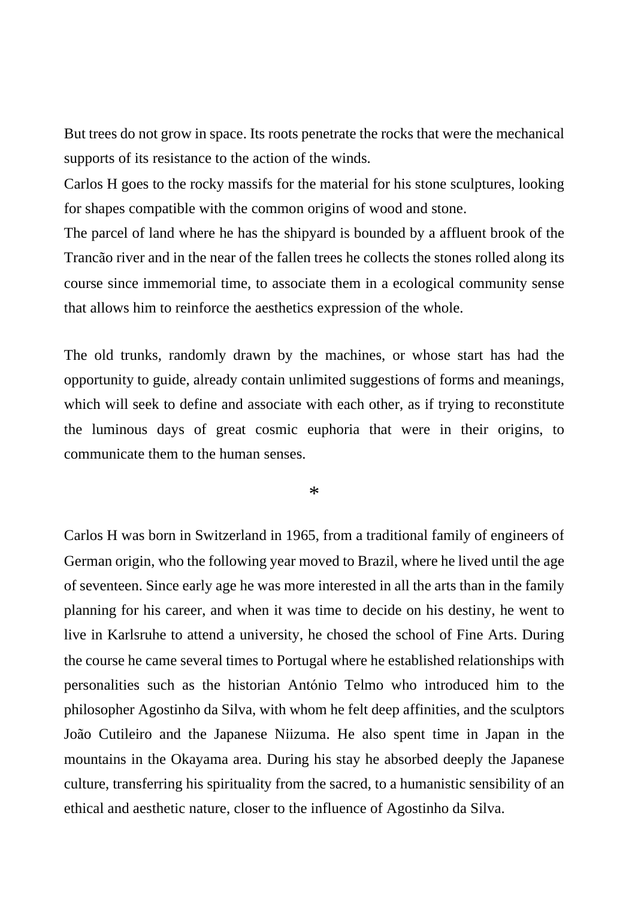But trees do not grow in space. Its roots penetrate the rocks that were the mechanical supports of its resistance to the action of the winds.

Carlos H goes to the rocky massifs for the material for his stone sculptures, looking for shapes compatible with the common origins of wood and stone.

The parcel of land where he has the shipyard is bounded by a affluent brook of the Trancão river and in the near of the fallen trees he collects the stones rolled along its course since immemorial time, to associate them in a ecological community sense that allows him to reinforce the aesthetics expression of the whole.

The old trunks, randomly drawn by the machines, or whose start has had the opportunity to guide, already contain unlimited suggestions of forms and meanings, which will seek to define and associate with each other, as if trying to reconstitute the luminous days of great cosmic euphoria that were in their origins, to communicate them to the human senses.

\*

Carlos H was born in Switzerland in 1965, from a traditional family of engineers of German origin, who the following year moved to Brazil, where he lived until the age of seventeen. Since early age he was more interested in all the arts than in the family planning for his career, and when it was time to decide on his destiny, he went to live in Karlsruhe to attend a university, he chosed the school of Fine Arts. During the course he came several times to Portugal where he established relationships with personalities such as the historian António Telmo who introduced him to the philosopher Agostinho da Silva, with whom he felt deep affinities, and the sculptors João Cutileiro and the Japanese Niizuma. He also spent time in Japan in the mountains in the Okayama area. During his stay he absorbed deeply the Japanese culture, transferring his spirituality from the sacred, to a humanistic sensibility of an ethical and aesthetic nature, closer to the influence of Agostinho da Silva.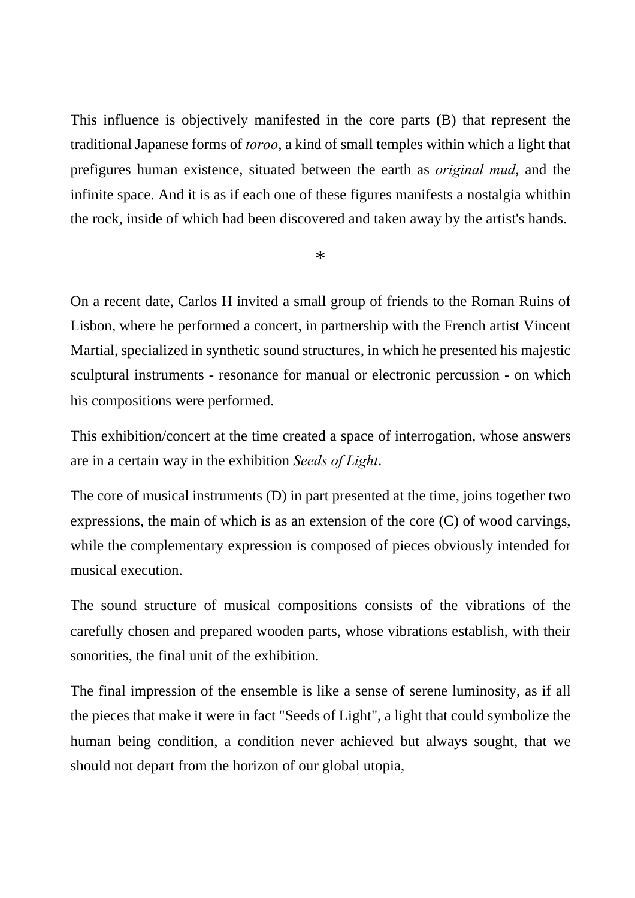This influence is objectively manifested in the core parts (B) that represent the traditional Japanese forms of *toroo*, a kind of small temples within which a light that prefigures human existence, situated between the earth as *original mud*, and the infinite space. And it is as if each one of these figures manifests a nostalgia whithin the rock, inside of which had been discovered and taken away by the artist's hands.

\*

On a recent date, Carlos H invited a small group of friends to the Roman Ruins of Lisbon, where he performed a concert, in partnership with the French artist Vincent Martial, specialized in synthetic sound structures, in which he presented his majestic sculptural instruments - resonance for manual or electronic percussion - on which his compositions were performed.

This exhibition/concert at the time created a space of interrogation, whose answers are in a certain way in the exhibition *Seeds of Light*.

The core of musical instruments (D) in part presented at the time, joins together two expressions, the main of which is as an extension of the core (C) of wood carvings, while the complementary expression is composed of pieces obviously intended for musical execution.

The sound structure of musical compositions consists of the vibrations of the carefully chosen and prepared wooden parts, whose vibrations establish, with their sonorities, the final unit of the exhibition.

The final impression of the ensemble is like a sense of serene luminosity, as if all the pieces that make it were in fact "Seeds of Light", a light that could symbolize the human being condition, a condition never achieved but always sought, that we should not depart from the horizon of our global utopia,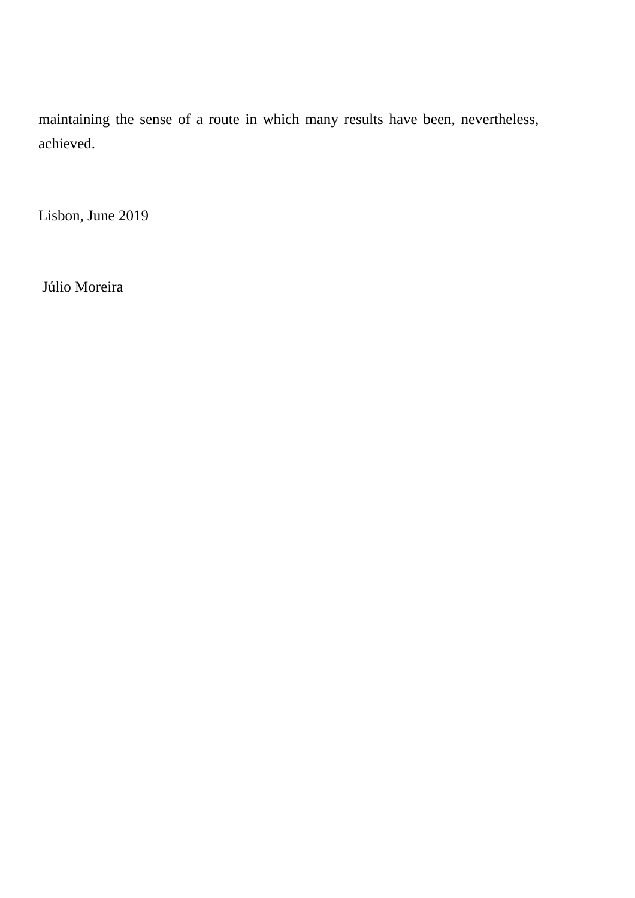maintaining the sense of a route in which many results have been, nevertheless, achieved.

Lisbon, June 2019

Júlio Moreira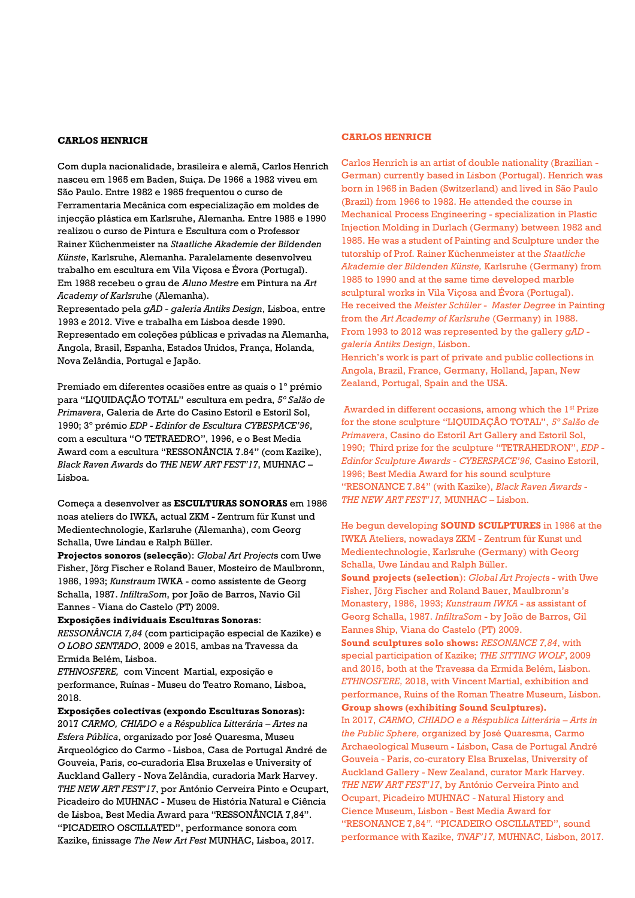#### **CARLOS HENRICH**

Com dupla nacionalidade, brasileira e alemã, Carlos Henrich nasceu em 1965 em Baden, Suiça. De 1966 a 1982 viveu em São Paulo. Entre 1982 e 1985 frequentou o curso de Ferramentaria Mecânica com especialização em moldes de injecção plástica em Karlsruhe, Alemanha. Entre 1985 e 1990 realizou o curso de Pintura e Escultura com o Professor Rainer Küchenmeister na *Staatliche Akademie der Bildenden Künste*, Karlsruhe, Alemanha. Paralelamente desenvolveu trabalho em escultura em Vila Viçosa e Évora (Portugal). Em 1988 recebeu o grau de *Aluno Mestre* em Pintura na *Art Academy of Karlsru*he (Alemanha).

Representado pela *gAD - galeria Antiks Design*, Lisboa, entre 1993 e 2012. Vive e trabalha em Lisboa desde 1990. Representado em coleções públicas e privadas na Alemanha, Angola, Brasil, Espanha, Estados Unidos, França, Holanda, Nova Zelândia, Portugal e Japão.

Premiado em diferentes ocasiões entre as quais o 1º prémio para "LIQUIDAÇÃO TOTAL" escultura em pedra, *5º Salão de Primavera*, Galeria de Arte do Casino Estoril e Estoril Sol, 1990; 3º prémio *EDP - Edinfor de Escultura CYBESPACE'96*, com a escultura "O TETRAEDRO", 1996, e o Best Media Award com a escultura "RESSONÂNCIA 7.84" (com Kazike), *Black Raven Awards* do *THE NEW ART FEST'17*, MUHNAC – Lisboa.

Começa a desenvolver as **ESCULTURAS SONORAS** em 1986 noas ateliers do IWKA, actual ZKM - Zentrum für Kunst und Medientechnologie, Karlsruhe (Alemanha), com Georg Schalla, Uwe Lindau e Ralph Büller.

**Projectos sonoros (selecção**): *Global Art Project*s com Uwe Fisher, Jörg Fischer e Roland Bauer, Mosteiro de Maulbronn, 1986, 1993; *Kunstraum* IWKA - como assistente de Georg Schalla, 1987. *InfiltraSom*, por João de Barros, Navio Gil Eannes - Viana do Castelo (PT) 2009.

#### **Exposições individuais Esculturas Sonoras**:

*RESSONÂNCIA 7,84* (com participação especial de Kazike) e *O LOBO SENTADO*, 2009 e 2015, ambas na Travessa da Ermida Belém, Lisboa.

*ETHNOSFERE,* com Vincent Martial, exposição e performance, Ruínas - Museu do Teatro Romano, Lisboa, 2018.

**Exposições colectivas (expondo Esculturas Sonoras):** 2017 *CARMO, CHIADO e a Réspublica Litterária – Artes na Esfera Pública*, organizado por José Quaresma, Museu Arqueológico do Carmo - Lisboa, Casa de Portugal André de Gouveia, Paris, co-curadoria Elsa Bruxelas e University of Auckland Gallery - Nova Zelândia, curadoria Mark Harvey. *THE NEW ART FEST'17*, por António Cerveira Pinto e Ocupart, Picadeiro do MUHNAC - Museu de História Natural e Ciência de Lisboa, Best Media Award para "RESSONÂNCIA 7,84". "PICADEIRO OSCILLATED", performance sonora com Kazike, finissage *The New Art Fest* MUNHAC, Lisboa, 2017.

#### **CARLOS HENRICH**

Carlos Henrich is an artist of double nationality (Brazilian - German) currently based in Lisbon (Portugal). Henrich was born in 1965 in Baden (Switzerland) and lived in São Paulo (Brazil) from 1966 to 1982. He attended the course in Mechanical Process Engineering - specialization in Plastic Injection Molding in Durlach (Germany) between 1982 and 1985. He was a student of Painting and Sculpture under the tutorship of Prof. Rainer Küchenmeister at the *Staatliche Akademie der Bildenden Künste,* Karlsruhe (Germany) from 1985 to 1990 and at the same time developed marble sculptural works in Vila Viçosa and Évora (Portugal). He received the *Meister Schüler* - *Master Degree* in Painting from the *Art Academy of Karlsruhe* (Germany) in 1988. From 1993 to 2012 was represented by the gallery *gAD galeria Antiks Design*, Lisbon. Henrich's work is part of private and public collections in Angola, Brazil, France, Germany, Holland, Japan, New Zealand, Portugal, Spain and the USA.

Awarded in different occasions, among which the 1<sup>st</sup> Prize for the stone sculpture "LIQUIDAÇÂO TOTAL", *5º Salão de Primavera*, Casino do Estoril Art Gallery and Estoril Sol, 1990; Third prize for the sculpture "TETRAHEDRON", *EDP - Edinfor Sculpture Awards - CYBERSPACE'96,* Casino Estoril, 1996; Best Media Award for his sound sculpture "RESONANCE 7.84" (with Kazike), *Black Raven Awards - THE NEW ART FEST'17,* MUNHAC – Lisbon.

He begun developing **SOUND SCULPTURES** in 1986 at the IWKA Ateliers, nowadays ZKM - Zentrum für Kunst und Medientechnologie, Karlsruhe (Germany) with Georg Schalla, Uwe Lindau and Ralph Büller.

**Sound projects (selection**): *Global Art Project*s - with Uwe Fisher, Jörg Fischer and Roland Bauer, Maulbronn's Monastery, 1986, 1993; *Kunstraum IWKA* - as assistant of Georg Schalla, 1987. *InfiltraSom* - by João de Barros, Gil Eannes Ship, Viana do Castelo (PT) 2009.

**Sound sculptures solo shows:** *RESONANCE 7,84*, with special participation of Kazike; *THE SITTING WOLF*, 2009 and 2015, both at the Travessa da Ermida Belém, Lisbon. *ETHNOSFERE,* 2018, with Vincent Martial, exhibition and performance, Ruins of the Roman Theatre Museum, Lisbon. **Group shows (exhibiting Sound Sculptures).**

In 2017, *CARMO, CHIADO e a Réspublica Litterária – Arts in the Public Sphere,* organized by José Quaresma, Carmo Archaeological Museum - Lisbon, Casa de Portugal André Gouveia - Paris, co-curatory Elsa Bruxelas, University of Auckland Gallery - New Zealand, curator Mark Harvey. *THE NEW ART FEST'17*, by António Cerveira Pinto and Ocupart, Picadeiro MUHNAC - Natural History and Cience Museum, Lisbon - Best Media Award for "RESONANCE 7,84*".* "PICADEIRO OSCILLATED", sound performance with Kazike, *TNAF'17,* MUHNAC, Lisbon, 2017*.*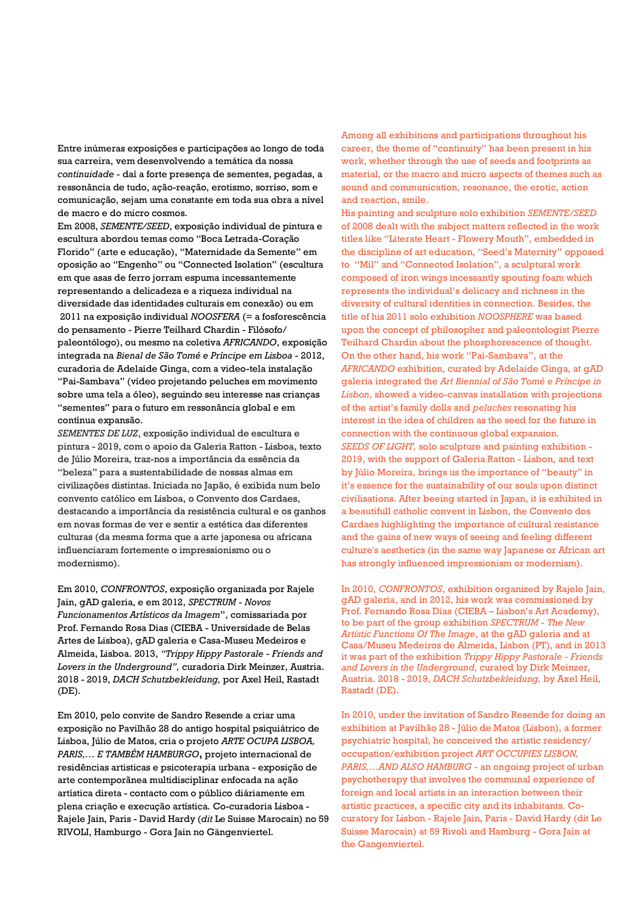Entre inúmeras exposições e participações ao longo de toda sua carreira, vem desenvolvendo a temática da nossa *continuidade -* daí a forte presença de sementes, pegadas, a ressonância de tudo, ação-reação, erotismo, sorriso, som e comunicação, sejam uma constante em toda sua obra a nível de macro e do micro cosmos.

Em 2008, *SEMENTE/SEED*, exposição individual de pintura e escultura abordou temas como "Boca Letrada-Coração Florido" (arte e educação), "Maternidade da Semente" em oposição ao "Engenho" ou "Connected Isolation" (escultura em que asas de ferro jorram espuma incessantemente representando a delicadeza e a riqueza individual na diversidade das identidades culturais em conexão) ou em 2011 na exposição individual *NOOSFERA* (= a fosforescência do pensamento - Pierre Teilhard Chardin - Filósofo/ paleontólogo), ou mesmo na coletiva *AFRICANDO*, exposição integrada na *Bienal de São Tomé e Príncipe em Lisboa* - 2012, curadoria de Adelaide Ginga, com a video-tela instalação "Pai-Sambava" (vídeo projetando peluches em movimento sobre uma tela a óleo), seguindo seu interesse nas crianças "sementes" para o futuro em ressonância global e em contínua expansão.

*SEMENTES DE LUZ*, exposição individual de escultura e pintura - 2019, com o apoio da Galeria Ratton - Lisboa, texto de Júlio Moreira, traz-nos a importância da essência da "beleza" para a sustentabilidade de nossas almas em civilizações distintas. Iniciada no Japão, é exibida num belo convento católico em Lisboa, o Convento dos Cardaes, destacando a importância da resistência cultural e os ganhos em novas formas de ver e sentir a estética das diferentes culturas (da mesma forma que a arte japonesa ou africana influenciaram fortemente o impressionismo ou o modernismo).

Em 2010, *CONFRONTOS*, exposição organizada por Rajele Jain, gAD galeria, e em 2012, *SPECTRUM - Novos Funcionamentos Artísticos da Imagem*", comissariada por Prof. Fernando Rosa Dias (CIEBA - Universidade de Belas Artes de Lisboa), gAD galeria e Casa-Museu Medeiros e Almeida, Lisboa. 2013, *"Trippy Hippy Pastorale - Friends and Lovers in the Underground",* curadoria Dirk Meinzer, Austria. 2018 - 2019, *DACH Schutzbekleidung,* por Axel Heil, Rastadt (DE).

Em 2010, pelo convite de Sandro Resende a criar uma exposição no Pavilhão 28 do antigo hospital psiquiátrico de Lisboa, Júlio de Matos, cria o projeto *ARTE OCUPA LISBOA, PARIS,… E TAMBÉM HAMBURGO***,** projeto internacional de residências artisticas e psicoterapia urbana - exposição de arte contemporãnea multidisciplinar enfocada na ação artística direta - contacto com o público diáriamente em plena criação e execução artística. Co-curadoria Lisboa - Rajele Jain, Paris - David Hardy (*dit* Le Suisse Marocain) no 59 RIVOLI, Hamburgo - Gora Jain no Gängenviertel.

Among all exhibitions and participations throughout his career, the theme of "continuity" has been present in his work, whether through the use of seeds and footprints as material, or the macro and micro aspects of themes such as sound and communication, resonance, the erotic, action and reaction, smile.

His painting and sculpture solo exhibition *SEMENTE/SEED* of 2008 dealt with the subject matters reflected in the work titles like "Literate Heart - Flowery Mouth", embedded in the discipline of art education, "Seed's Maternity" opposed to "Mil" and "Connected Isolation", a sculptural work composed of iron wings incessantly spouting foam which represents the individual's delicacy and richness in the diversity of cultural identities in connection. Besides, the title of his 2011 solo exhibition *NOOSPHERE* was based upon the concept of philosopher and paleontologist Pierre Teilhard Chardin about the phosphorescence of thought. On the other hand, his work "Pai-Sambava", at the *AFRICANDO* exhibition, curated by Adelaide Ginga, at gAD galeria integrated the *Art Biennial of São Tomé e Príncipe in Lisbon*, showed a video-canvas installation with projections of the artist's family dolls and *peluches* resonating his interest in the idea of children as the seed for the future in connection with the continuous global expansion. *SEEDS OF LIGHT,* solo sculpture and painting exhibition - 2019, with the support of Galeria Ratton - Lisbon, and text by Júlio Moreira, brings us the importance of "beauty" in it's essence for the sustainability of our souls upon distinct civilisations. After beeing started in Japan, it is exhibited in a beautifull catholic convent in Lisbon, the Convento dos Cardaes highlighting the importance of cultural resistance and the gains of new ways of seeing and feeling different culture's aesthetics (in the same way Japanese or African art has strongly influenced impressionism or modernism).

In 2010, *CONFRONTOS*, exhibition organized by Rajele Jain, gAD galeria, and in 2012, his work was commissioned by Prof. Fernando Rosa Dias (CIEBA – Lisbon's Art Academy), to be part of the group exhibition *SPECTRUM - The New Artistic Functions Of The Image*, at the gAD galeria and at Casa/Museu Medeiros de Almeida, Lisbon (PT), and in 2013 it was part of the exhibition *Trippy Hippy Pastorale - Friends and Lovers in the Underground*, curated by Dirk Meinzer, Austria. 2018 - 2019, *DACH Schutzbekleidung,* by Axel Heil, Rastadt (DE).

In 2010, under the invitation of Sandro Resende for doing an exhibition at Pavilhão 28 - Júlio de Matos (Lisbon), a former psychiatric hospital, he conceived the artistic residency/ occupation/exhibition project *ART OCCUPIES LISBON, PARIS,…AND ALSO HAMBURG -* an ongoing project of urban psychotherapy that involves the communal experience of foreign and local artists in an interaction between their artistic practices, a specific city and its inhabitants. Cocuratory for Lisbon - Rajele Jain, Paris - David Hardy (dit Le Suisse Marocain) at 59 Rivoli and Hamburg - Gora Jain at the Gangenviertel.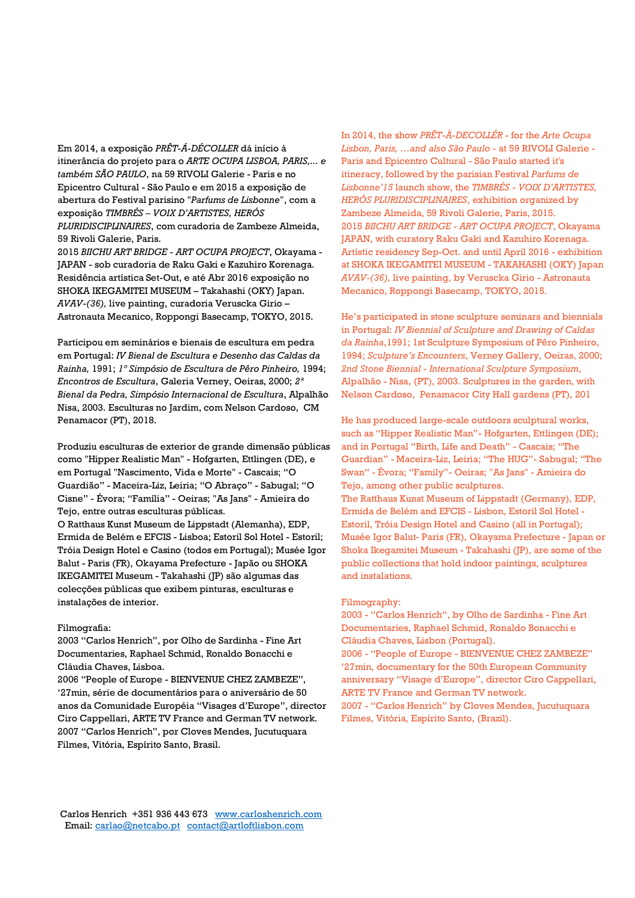Em 2014, a exposição *PRÊT-Á-DÉCOLLER* dá início à itinerância do projeto para o *ARTE OCUPA LISBOA, PARIS,... e também SÃO PAULO*, na 59 RIVOLI Galerie - Paris e no Epicentro Cultural - São Paulo e em 2015 a exposição de abertura do Festival parisino "*Parfums de Lisbonne*", com a exposição *TIMBRÉS – VOIX D'ARTISTES, HERÓS PLURIDISCIPLINAIRES*, com curadoria de Zambeze Almeida, 59 Rivoli Galerie, Paris.

2015 *BIICHU ART BRIDGE - ART OCUPA PROJECT*, Okayama - JAPAN - sob curadoria de Raku Gaki e Kazuhiro Korenaga. Residência artística Set-Out, e até Abr 2016 exposição no SHOKA IKEGAMITEI MUSEUM – Takahashi (OKY) Japan. *AVAV-(36),* live painting, curadoria Veruscka Girio – Astronauta Mecanico, Roppongi Basecamp, TOKYO, 2015.

Participou em seminários e bienais de escultura em pedra em Portugal: *IV Bienal de Escultura e Desenho das Caldas da Rainha,* 1991; *1º Simpósio de Escultura de Pêro Pinheiro,* 1994; *Encontros de Escultura*, Galeria Verney, Oeiras, 2000; *2ª Bienal da Pedra, Simpósio Internacional de Escultura*, Alpalhão Nisa, 2003. Esculturas no Jardim, com Nelson Cardoso, CM Penamacor (PT), 2018.

Produziu esculturas de exterior de grande dimensão públicas como "Hipper Realistic Man" - Hofgarten, Ettlingen (DE), e em Portugal "Nascimento, Vida e Morte" - Cascais; "O Guardião" - Maceira-Liz, Leiria; "O Abraço" - Sabugal; "O Cisne" - Évora; "Família" - Oeiras; "As Jans" - Amieira do Tejo, entre outras esculturas públicas. O Ratthaus Kunst Museum de Lippstadt (Alemanha), EDP, Ermida de Belém e EFCIS - Lisboa; Estoril Sol Hotel - Estoril; Tróia Design Hotel e Casino (todos em Portugal); Musée Igor Balut - Paris (FR), Okayama Prefecture - Japão ou SHOKA IKEGAMITEI Museum - Takahashi (JP) são algumas das colecções públicas que exibem pinturas, esculturas e instalações de interior.

#### Filmografia:

2003 "Carlos Henrich", por Olho de Sardinha - Fine Art Documentaries, Raphael Schmid, Ronaldo Bonacchi e Cláudia Chaves, Lisboa.

2006 "People of Europe - BIENVENUE CHEZ ZAMBEZE", '27min, série de documentários para o aniversário de 50 anos da Comunidade Européia "Visages d'Europe", director Ciro Cappellari, ARTE TV France and German TV network. 2007 "Carlos Henrich", por Cloves Mendes, Jucutuquara Filmes, Vitória, Espírito Santo, Brasil.

In 2014, the show *PRÊT-À-DECOLLÉR* - for the *Arte Ocupa Lisbon, Paris, …and also São Paulo -* at 59 RIVOLI Galerie - Paris and Epicentro Cultural - São Paulo started it's itineracy, followed by the parisian Festival *Parfums de Lisbonne'15* launch show, the *TIMBRÉS - VOIX D'ARTISTES, HERÓS PLURIDISCIPLINAIRES*, exhibition organized by Zambeze Almeida, 59 Rivoli Galerie, Paris, 2015. 2015 *BIICHU ART BRIDGE - ART OCUPA PROJECT*, Okayama JAPAN, with curatory Raku Gaki and Kazuhiro Korenaga. Artístic residency Sep-Oct. and until April 2016 - exhibition at SHOKA IKEGAMITEI MUSEUM - TAKAHASHI (OKY) Japan *AVAV-(36),* live painting, by Veruscka Girio - Astronauta Mecanico, Roppongi Basecamp, TOKYO, 2015.

He's participated in stone sculpture seminars and biennials in Portugal: *IV Biennial of Sculpture and Drawing of Caldas da Rainha*,1991; 1st Sculpture Symposium of Pêro Pinheiro, 1994; *Sculpture's Encounters*, Verney Gallery, Oeiras, 2000; *2nd Stone Biennial - International Sculpture Symposium*, Alpalhão - Nisa, (PT), 2003. Sculptures in the garden, with Nelson Cardoso, Penamacor City Hall gardens (PT), 201

He has produced large-scale outdoors sculptural works, such as "Hipper Realistic Man"- Hofgarten, Ettlingen (DE); and in Portugal "Birth, Life and Death" - Cascais; "The Guardian" - Maceira-Liz, Leiria; "The HUG"- Sabugal; "The Swan" - Évora; "Family"- Oeiras; "As Jans" - Amieira do Tejo, among other public sculptures. The Ratthaus Kunst Museum of Lippstadt (Germany), EDP, Ermida de Belém and EFCIS - Lisbon, Estoril Sol Hotel - Estoril, Tróia Design Hotel and Casino (all in Portugal); Musée Igor Balut- Paris (FR), Okayama Prefecture - Japan or Shoka Ikegamitei Museum - Takahashi (JP), are some of the public collections that hold indoor paintings, sculptures and instalations.

#### Filmography:

2003 - "Carlos Henrich", by Olho de Sardinha - Fine Art Documentaries, Raphael Schmid, Ronaldo Bonacchi e Cláudia Chaves, Lisbon (Portugal).

2006 - "People of Europe - BIENVENUE CHEZ ZAMBEZE" '27min, documentary for the 50th European Community anniversary "Visage d'Europe", director Ciro Cappellari, ARTE TV France and German TV network.

2007 - "Carlos Henrich" by Cloves Mendes, Jucutuquara Filmes, Vitória, Espírito Santo, (Brazil).